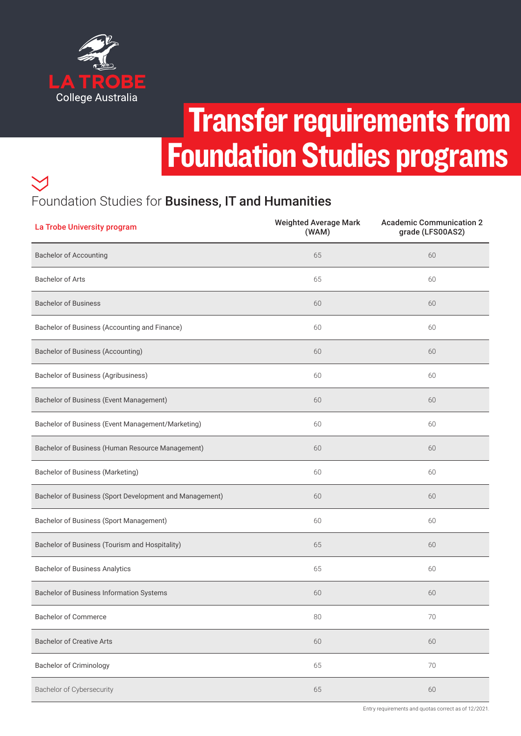

# Transfer requirements from Foundation Studies programs

## Foundation Studies for Business, IT and Humanities

| La Trobe University program                             | <b>Weighted Average Mark</b><br>(WAM) | <b>Academic Communication 2</b><br>grade (LFS00AS2) |
|---------------------------------------------------------|---------------------------------------|-----------------------------------------------------|
| <b>Bachelor of Accounting</b>                           | 65                                    | 60                                                  |
| <b>Bachelor of Arts</b>                                 | 65                                    | 60                                                  |
| <b>Bachelor of Business</b>                             | 60                                    | 60                                                  |
| Bachelor of Business (Accounting and Finance)           | 60                                    | 60                                                  |
| <b>Bachelor of Business (Accounting)</b>                | 60                                    | 60                                                  |
| Bachelor of Business (Agribusiness)                     | 60                                    | 60                                                  |
| Bachelor of Business (Event Management)                 | 60                                    | 60                                                  |
| Bachelor of Business (Event Management/Marketing)       | 60                                    | 60                                                  |
| Bachelor of Business (Human Resource Management)        | 60                                    | 60                                                  |
| Bachelor of Business (Marketing)                        | 60                                    | 60                                                  |
| Bachelor of Business (Sport Development and Management) | 60                                    | 60                                                  |
| Bachelor of Business (Sport Management)                 | 60                                    | 60                                                  |
| Bachelor of Business (Tourism and Hospitality)          | 65                                    | 60                                                  |
| <b>Bachelor of Business Analytics</b>                   | 65                                    | 60                                                  |
| Bachelor of Business Information Systems                | 60                                    | 60                                                  |
| <b>Bachelor of Commerce</b>                             | 80                                    | 70                                                  |
| <b>Bachelor of Creative Arts</b>                        | 60                                    | 60                                                  |
| <b>Bachelor of Criminology</b>                          | 65                                    | 70                                                  |
| Bachelor of Cybersecurity                               | 65                                    | 60                                                  |

Entry requirements and quotas correct as of 12/2021.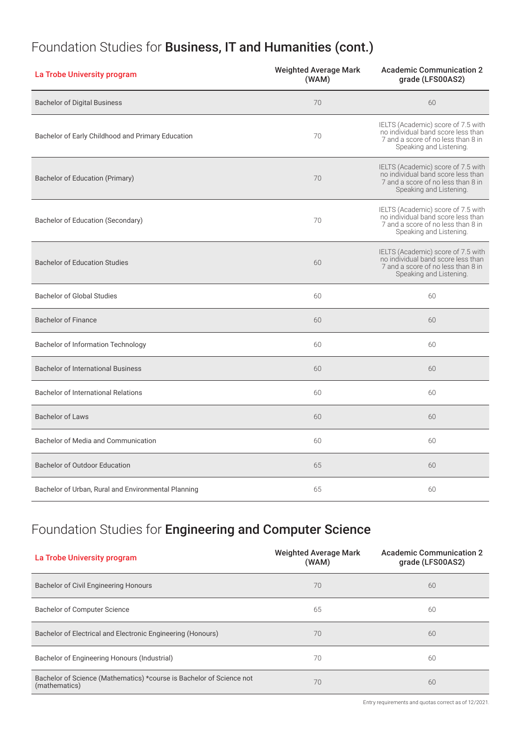#### Foundation Studies for Business, IT and Humanities (cont.)

| La Trobe University program                         | <b>Weighted Average Mark</b><br>(WAM) | <b>Academic Communication 2</b><br>grade (LFS00AS2)                                                                                       |  |
|-----------------------------------------------------|---------------------------------------|-------------------------------------------------------------------------------------------------------------------------------------------|--|
| <b>Bachelor of Digital Business</b>                 | 70                                    | 60                                                                                                                                        |  |
| Bachelor of Early Childhood and Primary Education   | 70                                    | IELTS (Academic) score of 7.5 with<br>no individual band score less than<br>7 and a score of no less than 8 in<br>Speaking and Listening. |  |
| <b>Bachelor of Education (Primary)</b>              | 70                                    | IELTS (Academic) score of 7.5 with<br>no individual band score less than<br>7 and a score of no less than 8 in<br>Speaking and Listening. |  |
| Bachelor of Education (Secondary)                   | 70                                    | IELTS (Academic) score of 7.5 with<br>no individual band score less than<br>7 and a score of no less than 8 in<br>Speaking and Listening. |  |
| <b>Bachelor of Education Studies</b>                | 60                                    | IELTS (Academic) score of 7.5 with<br>no individual band score less than<br>7 and a score of no less than 8 in<br>Speaking and Listening. |  |
| <b>Bachelor of Global Studies</b>                   | 60                                    | 60                                                                                                                                        |  |
| <b>Bachelor of Finance</b>                          | 60                                    | 60                                                                                                                                        |  |
| <b>Bachelor of Information Technology</b>           | 60                                    | 60                                                                                                                                        |  |
| <b>Bachelor of International Business</b>           | 60                                    | 60                                                                                                                                        |  |
| <b>Bachelor of International Relations</b>          | 60                                    | 60                                                                                                                                        |  |
| <b>Bachelor of Laws</b>                             | 60                                    | 60                                                                                                                                        |  |
| Bachelor of Media and Communication                 | 60                                    | 60                                                                                                                                        |  |
| <b>Bachelor of Outdoor Education</b>                | 65                                    | 60                                                                                                                                        |  |
| Bachelor of Urban, Rural and Environmental Planning | 65                                    | 60                                                                                                                                        |  |

#### Foundation Studies for Engineering and Computer Science

| La Trobe University program                                                           | <b>Weighted Average Mark</b><br>(WAM) | <b>Academic Communication 2</b><br>grade (LFS00AS2) |
|---------------------------------------------------------------------------------------|---------------------------------------|-----------------------------------------------------|
| Bachelor of Civil Engineering Honours                                                 | 70                                    | 60                                                  |
| <b>Bachelor of Computer Science</b>                                                   | 65                                    | 60                                                  |
| Bachelor of Electrical and Electronic Engineering (Honours)                           | 70                                    | 60                                                  |
| Bachelor of Engineering Honours (Industrial)                                          | 70                                    | 60                                                  |
| Bachelor of Science (Mathematics) *course is Bachelor of Science not<br>(mathematics) | 70                                    | 60                                                  |

Entry requirements and quotas correct as of 12/2021.